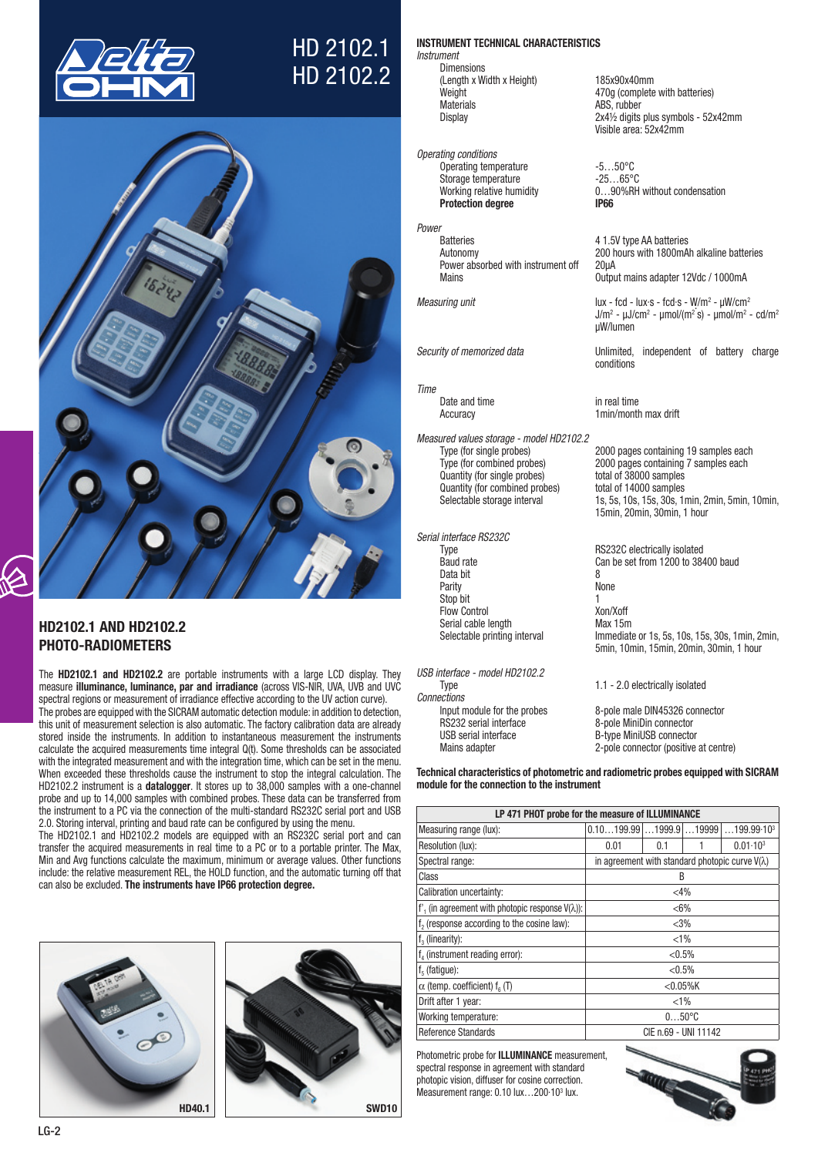

# HD 2102.1 HD 2102.2



## HD2102.1 AND HD2102.2 PHOTO-RADIOMETERS

The HD2102.1 and HD2102.2 are portable instruments with a large LCD display. They measure illuminance, luminance, par and irradiance (across VIS-NIR, UVA, UVB and UVC spectral regions or measurement of irradiance effective according to the UV action curve).

The probes are equipped with the SICRAM automatic detection module: in addition to detection, this unit of measurement selection is also automatic. The factory calibration data are already stored inside the instruments. In addition to instantaneous measurement the instruments calculate the acquired measurements time integral Q(t). Some thresholds can be associated with the integrated measurement and with the integration time, which can be set in the menu. When exceeded these thresholds cause the instrument to stop the integral calculation. The HD2102.2 instrument is a datalogger. It stores up to 38,000 samples with a one-channel probe and up to 14,000 samples with combined probes. These data can be transferred from the instrument to a PC via the connection of the multi-standard RS232C serial port and USB 2.0. Storing interval, printing and baud rate can be configured by using the menu.

The HD2102.1 and HD2102.2 models are equipped with an RS232C serial port and can transfer the acquired measurements in real time to a PC or to a portable printer. The Max, Min and Avg functions calculate the maximum, minimum or average values. Other functions include: the relative measurement REL, the HOLD function, and the automatic turning off that can also be excluded. The instruments have IP66 protection degree.





## (Length x Width x Height) 185x90x40mm Weight  $470g$  (complete with batteries)<br>
Materials<br>
Materials

INSTRUMENT TECHNICAL CHARACTERISTICS

*Operating conditions* Operating temperature -5...50°C Storage temperature -25...65°C Protection degree **IP66** 

*Power* Power absorbed with instrument off 20μA

*Instrument*

Dimensions

## *Time*

*Measured values storage - model HD2102.2* quantity (for single probes) total of 38000 samples<br>
Quantity (for combined probes) total of 14000 samples Quantity (for combined probes)

#### *Serial interface RS232C*

Type Type RS232C electrically isolated<br>Baud rate Can be set from 1200 to 38 Data bit<br>Parity **8** None Parity None Stop bit Flow Control Xon/Xoff<br>Serial cable length Max 15m Serial cable length<br>Selectable printing interval

*USB interface - model HD2102.2 Connections* RS232 serial interface 8-pole MiniDin connector

ABS, rubber Display 2x4½ digits plus symbols - 52x42mm Visible area: 52x42mm

Working relative humidity 0…90%RH without condensation

4 1.5V type AA batteries Autonomy 200 hours with 1800mAh alkaline batteries Output mains adapter 12Vdc / 1000mA

Measuring unit lux - fcd - lux s - fcd s - W/m<sup>2</sup> - µW/cm<sup>2</sup>  $J/m^2$ ' - μJ/cm² - μmol/(m² s) - μmol/m² - cd/m² µW/lumen

*Security of memorized data* Unlimited, independent of battery charge conditions

Date and time in real time Accuracy 1min/month max drift

Type (for single probes) 2000 pages containing 19 samples each<br>Type (for combined probes) 2000 pages containing 7 samples each 2000 pages containing 7 samples each Selectable storage interval 1s, 5s, 10s, 15s, 30s, 1min, 2min, 5min, 10min, 15min, 20min, 30min, 1 hour

> Can be set from  $1200$  to 38400 baud Immediate or 1s, 5s, 10s, 15s, 30s, 1min, 2min, 5min, 10min, 15min, 20min, 30min, 1 hour

1.1 - 2.0 electrically isolated 8-pole male DIN45326 connector

USB serial interface B-type MiniUSB connector<br>
Mains adapter<br>
2-pole connector (positive 2-pole connector (positive at centre)

Technical characteristics of photometric and radiometric probes equipped with SICRAM module for the connection to the instrument

| LP 471 PHOT probe for the measure of ILLUMINANCE         |                                                        |                      |  |                                        |  |
|----------------------------------------------------------|--------------------------------------------------------|----------------------|--|----------------------------------------|--|
| Measuring range (lux):                                   | $0.10199.99$ 1999.9 19999                              |                      |  | $\dots$ 199.99 $\cdot$ 10 <sup>3</sup> |  |
| Resolution (lux):                                        | 0.01                                                   | 0.1                  |  | $0.01 \cdot 10^{3}$                    |  |
| Spectral range:                                          | in agreement with standard photopic curve $V(\lambda)$ |                      |  |                                        |  |
| Class                                                    |                                                        | B                    |  |                                        |  |
| Calibration uncertainty:                                 |                                                        | $<$ 4%               |  |                                        |  |
| f', (in agreement with photopic response $V(\lambda)$ ): | $<$ 6%                                                 |                      |  |                                        |  |
| f <sub>2</sub> (response according to the cosine law):   |                                                        | $<$ 3%               |  |                                        |  |
| $f3$ (linearity):                                        |                                                        | $< 1\%$              |  |                                        |  |
| $f_A$ (instrument reading error):                        |                                                        | $< 0.5\%$            |  |                                        |  |
| $f5$ (fatigue):                                          |                                                        | $< 0.5\%$            |  |                                        |  |
| $\alpha$ (temp. coefficient) $f_{\alpha}$ (T)            |                                                        | $<$ 0.05%K           |  |                                        |  |
| Drift after 1 year:                                      | $< 1\%$                                                |                      |  |                                        |  |
| Working temperature:                                     | $050^{\circ}$ C                                        |                      |  |                                        |  |
| Reference Standards                                      |                                                        | CIE n.69 - UNI 11142 |  |                                        |  |

Photometric probe for ILLUMINANCE measurement, spectral response in agreement with standard photopic vision, diffuser for cosine correction. Measurement range: 0.10 lux...200·10<sup>3</sup> lux.

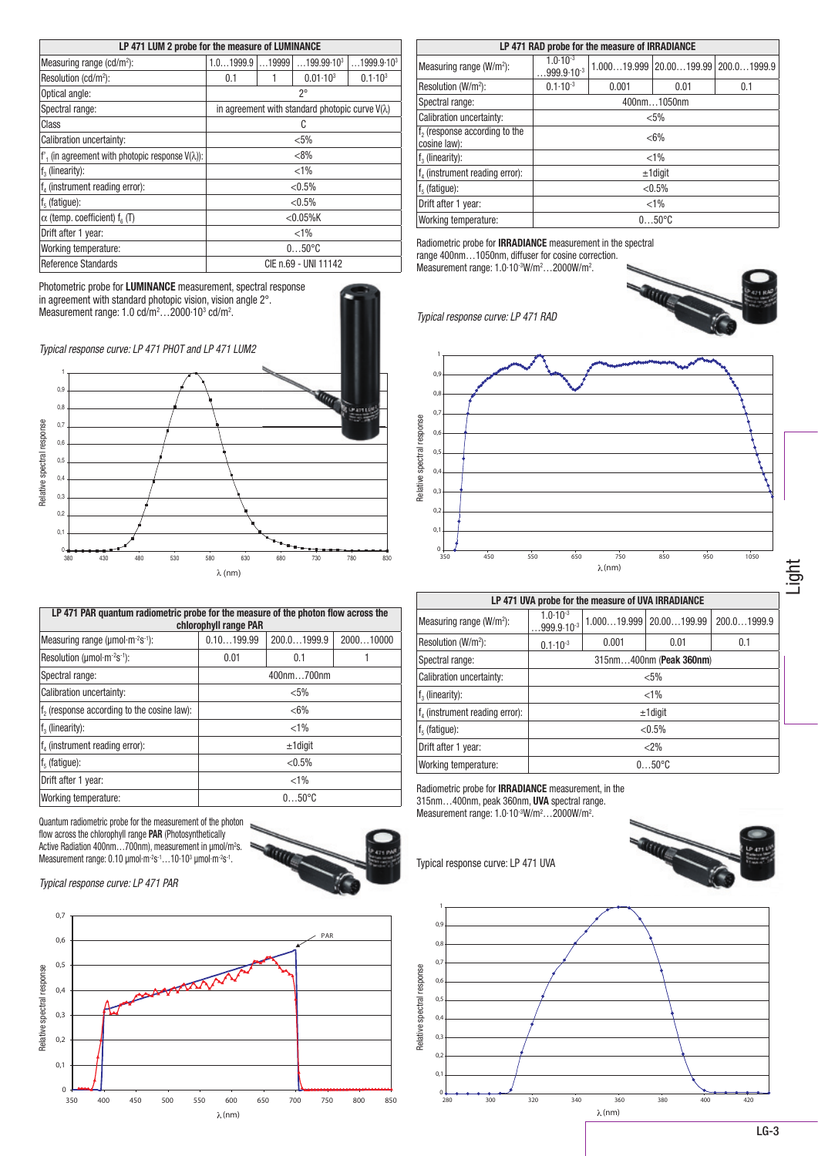| LP 471 LUM 2 probe for the measure of LUMINANCE          |                   |  |                                                        |                        |
|----------------------------------------------------------|-------------------|--|--------------------------------------------------------|------------------------|
| Measuring range (cd/m <sup>2</sup> ):                    | $1.01999.9$ 19999 |  | $\dots$ 199.99 $\cdot$ 10 $^3$                         | 1999.9.10 <sup>3</sup> |
| Resolution (cd/m <sup>2</sup> ):                         | 0.1               |  | $0.01 \cdot 10^{3}$                                    | $0.1 - 10^{3}$         |
| Optical angle:                                           |                   |  | 20                                                     |                        |
| Spectral range:                                          |                   |  | in agreement with standard photopic curve $V(\lambda)$ |                        |
| Class                                                    |                   |  | C                                                      |                        |
| Calibration uncertainty:                                 | $< 5\%$           |  |                                                        |                        |
| f', (in agreement with photopic response $V(\lambda)$ ): |                   |  | $< 8\%$                                                |                        |
| $f3$ (linearity):                                        |                   |  | $< 1\%$                                                |                        |
| $f_4$ (instrument reading error):                        |                   |  | $< 0.5\%$                                              |                        |
| $f5$ (fatigue):                                          |                   |  | $< 0.5\%$                                              |                        |
| $\alpha$ (temp. coefficient) $f_{\alpha}$ (T)            |                   |  | $<$ 0.05%K                                             |                        |
| Drift after 1 year:                                      |                   |  | $< 1\%$                                                |                        |
| Working temperature:                                     |                   |  | $050^{\circ}$ C                                        |                        |
| Reference Standards                                      |                   |  | CIE n.69 - UNI 11142                                   |                        |

| LP 471 RAD probe for the measure of IRRADIANCE            |                                                                                         |  |                 |  |  |  |
|-----------------------------------------------------------|-----------------------------------------------------------------------------------------|--|-----------------|--|--|--|
| Measuring range (W/m <sup>2</sup> ):                      | $1.0 \cdot 10^{-3}$<br>$1.00019.999$   $20.00199.99$   $200.01999.9$<br>$999.9.10^{-3}$ |  |                 |  |  |  |
| Resolution (W/m <sup>2</sup> ):                           | $0.1 \cdot 10^{-3}$<br>0.1<br>0.001<br>0.01                                             |  |                 |  |  |  |
| Spectral range:                                           | 400nm1050nm                                                                             |  |                 |  |  |  |
| Calibration uncertainty:                                  | $< 5\%$                                                                                 |  |                 |  |  |  |
| f <sub>2</sub> (response according to the<br>cosine law): | $< 6\%$                                                                                 |  |                 |  |  |  |
| $f3$ (linearity):                                         |                                                                                         |  | $< 1\%$         |  |  |  |
| $f_4$ (instrument reading error):                         |                                                                                         |  | $±1$ digit      |  |  |  |
| $f5$ (fatigue):                                           |                                                                                         |  | $< 0.5\%$       |  |  |  |
| Drift after 1 year:                                       | $< 1\%$                                                                                 |  |                 |  |  |  |
| Working temperature:                                      |                                                                                         |  | $050^{\circ}$ C |  |  |  |

Radiometric probe for IRRADIANCE measurement in the spectral range 400nm…1050nm, diffuser for cosine correction. Measurement range: 1.0·10<sup>-3</sup>W/m<sup>2</sup>...2000W/m<sup>2</sup>.

*Typical response curve: LP 471 RAD*





| Relative spectral response                 | 0,6<br>0,5<br>0,4<br>0,3<br>0,2<br>0,1 |                                                                                                                                                                                                                                    |                                  |                                                    |                 |             |  |  |
|--------------------------------------------|----------------------------------------|------------------------------------------------------------------------------------------------------------------------------------------------------------------------------------------------------------------------------------|----------------------------------|----------------------------------------------------|-----------------|-------------|--|--|
|                                            | $\mathbf 0$<br>350                     | 450                                                                                                                                                                                                                                | 550<br>650                       | 750<br>$\lambda$ (nm)                              | 850<br>950      | 1050        |  |  |
|                                            |                                        |                                                                                                                                                                                                                                    |                                  | LP 471 UVA probe for the measure of UVA IRRADIANCE |                 |             |  |  |
|                                            |                                        | Measuring range (W/m <sup>2</sup> ):                                                                                                                                                                                               | $1.0 - 10^{-3}$<br>$.999.9.10-3$ | 1.00019.999                                        | 20.00199.99     | 200.01999.9 |  |  |
|                                            | Resolution (W/m <sup>2</sup> ):        |                                                                                                                                                                                                                                    | $0.1 \cdot 10^{-3}$              | 0.001                                              | 0.01            | 0.1         |  |  |
|                                            | Spectral range:                        |                                                                                                                                                                                                                                    | 315nm400nm (Peak 360nm)          |                                                    |                 |             |  |  |
|                                            |                                        | Calibration uncertainty:                                                                                                                                                                                                           | $< 5\%$                          |                                                    |                 |             |  |  |
|                                            | $f_3$ (linearity):                     |                                                                                                                                                                                                                                    | $< 1\%$                          |                                                    |                 |             |  |  |
| f <sub>4</sub> (instrument reading error): |                                        | $±1$ digit                                                                                                                                                                                                                         |                                  |                                                    |                 |             |  |  |
| $f5$ (fatigue):                            |                                        |                                                                                                                                                                                                                                    |                                  | < 0.5%                                             |                 |             |  |  |
|                                            | Drift after 1 year:                    |                                                                                                                                                                                                                                    |                                  |                                                    | $<2\%$          |             |  |  |
|                                            |                                        | Working temperature:                                                                                                                                                                                                               |                                  |                                                    | $050^{\circ}$ C |             |  |  |
|                                            |                                        | Radiometric probe for <b>IRRADIANCE</b> measurement, in the<br>315nm400nm, peak 360nm, UVA spectral range.<br>Measurement range: 1.0.10 <sup>3</sup> W/m <sup>2</sup> 2000W/m <sup>2</sup> .<br>Typical response curve: LP 471 UVA |                                  |                                                    |                 |             |  |  |
|                                            | 1                                      |                                                                                                                                                                                                                                    |                                  |                                                    |                 |             |  |  |
|                                            | $_{0,9}$                               |                                                                                                                                                                                                                                    |                                  |                                                    |                 |             |  |  |
|                                            | 0,8                                    |                                                                                                                                                                                                                                    |                                  |                                                    |                 |             |  |  |
|                                            | 0,7                                    |                                                                                                                                                                                                                                    |                                  |                                                    |                 |             |  |  |
|                                            | 0,6                                    |                                                                                                                                                                                                                                    |                                  |                                                    |                 |             |  |  |
|                                            | 0,5                                    |                                                                                                                                                                                                                                    |                                  |                                                    |                 |             |  |  |
|                                            | 0,4                                    |                                                                                                                                                                                                                                    |                                  |                                                    |                 |             |  |  |
| Relative spectral response                 | 0, 3                                   |                                                                                                                                                                                                                                    |                                  |                                                    |                 |             |  |  |





*Typical response curve: LP 471 PHOT and LP 471 LUM2*

Photometric probe for LUMINANCE measurement, spectral response in agreement with standard photopic vision, vision angle 2°. Measurement range:  $1.0 \text{ cd/m}^2$ ... $2000 \cdot 10^3 \text{ cd/m}^2$ .



| LP 471 PAR quantum radiometric probe for the measure of the photon flow across the<br>chlorophyll range PAR |             |             |           |  |  |
|-------------------------------------------------------------------------------------------------------------|-------------|-------------|-----------|--|--|
| Measuring range ( $\mu$ mol·m <sup>-2</sup> s <sup>-1</sup> ):                                              | 0.10199.99  | 200.01999.9 | 200010000 |  |  |
| Resolution ( $\mu$ mol·m <sup>-2</sup> s <sup>-1</sup> ):                                                   | 0.01<br>0.1 |             |           |  |  |
| Spectral range:                                                                                             | 400nm700nm  |             |           |  |  |
| Calibration uncertainty:                                                                                    | $< 5\%$     |             |           |  |  |
| f <sub>2</sub> (response according to the cosine law):                                                      | $< 6\%$     |             |           |  |  |
| $f3$ (linearity):                                                                                           |             | $< 1\%$     |           |  |  |
| $f_{\lambda}$ (instrument reading error):                                                                   |             | $±1$ digit  |           |  |  |
| $f5$ (fatique):                                                                                             | $< 0.5\%$   |             |           |  |  |
| Drift after 1 year:                                                                                         | $< 1\%$     |             |           |  |  |
| Working temperature:                                                                                        |             | $050$ °C    |           |  |  |

Quantum radiometric probe for the measurement of the photon flow across the chlorophyll range **PAR** (Photosynthetically Active Radiation 400nm…700nm), measurement in μmol/m²s. Measurement range: 0.10 μmol·m<sup>-2</sup>s<sup>-1</sup>…10·10<sup>3</sup> μmol·m<sup>-2</sup>s<sup>-1</sup>.



*Typical response curve: LP 471 PAR*



LG-3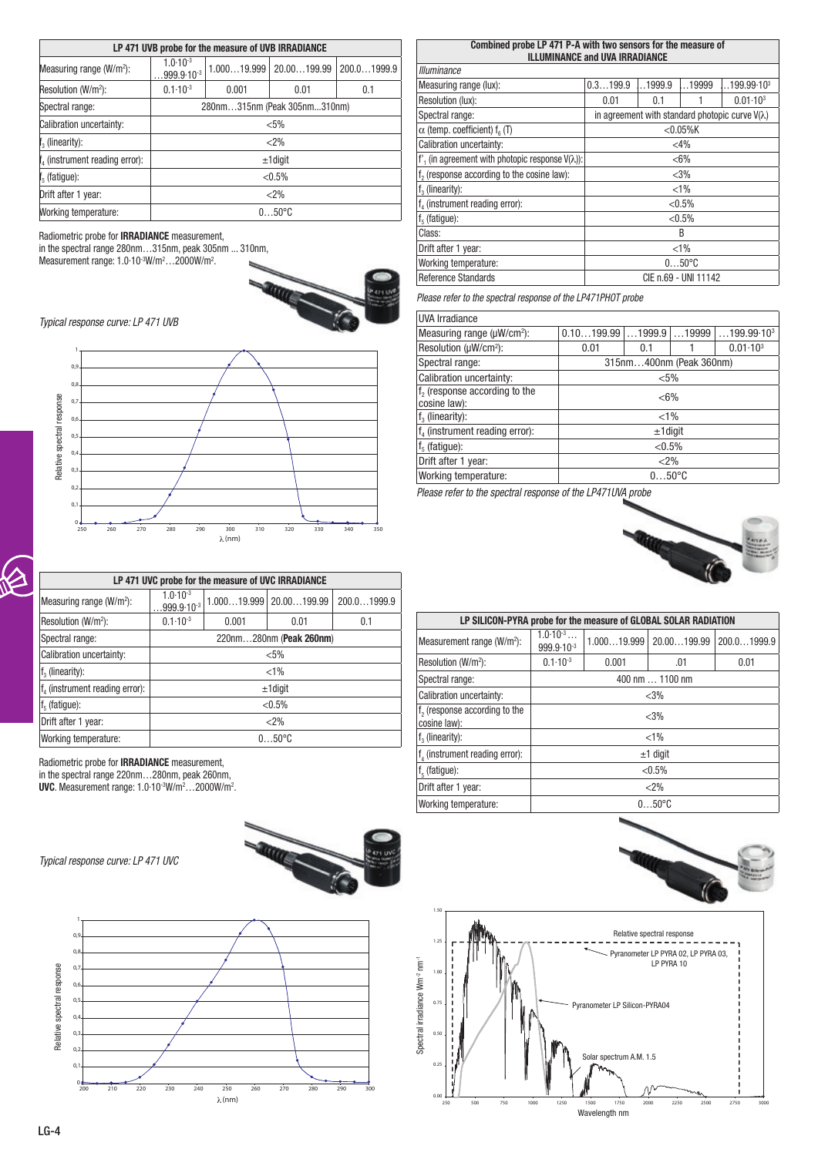| LP 471 UVB probe for the measure of UVB IRRADIANCE |                                             |                 |             |             |  |
|----------------------------------------------------|---------------------------------------------|-----------------|-------------|-------------|--|
| Measuring range (W/m <sup>2</sup> ):               | $1.0 - 10^{-3}$<br>$999.9.10-3$             | 1.00019.999     | 20.00199.99 | 200.01999.9 |  |
| Resolution (W/m <sup>2</sup> ):                    | $0.1 \cdot 10^{-3}$<br>0.001<br>0.01<br>0.1 |                 |             |             |  |
| Spectral range:                                    | 280nm315nm (Peak 305nm310nm)                |                 |             |             |  |
| Calibration uncertainty:                           | $< 5\%$                                     |                 |             |             |  |
| $\mathfrak{f}_3$ (linearity):                      |                                             |                 | < 2%        |             |  |
| f <sub>4</sub> (instrument reading error):         |                                             |                 | $±1$ diqit  |             |  |
| $\mathfrak{f}_5$ (fatigue):                        | $< 0.5\%$                                   |                 |             |             |  |
| Drift after 1 year:                                | < 2%                                        |                 |             |             |  |
| Working temperature:                               |                                             | $050^{\circ}$ C |             |             |  |

Radiometric probe for IRRADIANCE measurement,

in the spectral range 280nm…315nm, peak 305nm ... 310nm, Measurement range: 1.0·10<sup>-3</sup>W/m<sup>2</sup>...2000W/m<sup>2</sup>.



*Typical response curve: LP 471 UVB*



| 0,7                                                                                                                                                                                           |                                       |                                                    |                               |             |  |  |  |  |
|-----------------------------------------------------------------------------------------------------------------------------------------------------------------------------------------------|---------------------------------------|----------------------------------------------------|-------------------------------|-------------|--|--|--|--|
| 0,6                                                                                                                                                                                           | Relative spectral response            |                                                    |                               |             |  |  |  |  |
| 0,5                                                                                                                                                                                           |                                       |                                                    |                               |             |  |  |  |  |
| 0,4                                                                                                                                                                                           |                                       |                                                    |                               |             |  |  |  |  |
| 0, 3                                                                                                                                                                                          |                                       |                                                    |                               |             |  |  |  |  |
| 0,2                                                                                                                                                                                           |                                       |                                                    |                               |             |  |  |  |  |
| 0.1                                                                                                                                                                                           |                                       |                                                    |                               |             |  |  |  |  |
| $\Omega$                                                                                                                                                                                      |                                       |                                                    |                               |             |  |  |  |  |
| 250<br>260<br>270                                                                                                                                                                             | 280<br>290                            | 310<br>300                                         | 320<br>330                    | 340<br>350  |  |  |  |  |
|                                                                                                                                                                                               |                                       | $\lambda$ (nm)                                     |                               |             |  |  |  |  |
|                                                                                                                                                                                               |                                       |                                                    |                               |             |  |  |  |  |
|                                                                                                                                                                                               |                                       | LP 471 UVC probe for the measure of UVC IRRADIANCE |                               |             |  |  |  |  |
| Measuring range (W/m <sup>2</sup> ):                                                                                                                                                          | $1.0 \cdot 10^{-3}$<br>$999.9.10^{3}$ |                                                    | $1.00019.999$   $20.00199.99$ | 200.01999.9 |  |  |  |  |
| Resolution (W/m <sup>2</sup> ):                                                                                                                                                               | $0.1 \cdot 10^{-3}$                   | 0.001                                              | 0.01                          | 0.1         |  |  |  |  |
| Spectral range:                                                                                                                                                                               |                                       |                                                    | 220nm280nm (Peak 260nm)       |             |  |  |  |  |
| Calibration uncertainty:                                                                                                                                                                      |                                       |                                                    | $< 5\%$                       |             |  |  |  |  |
| $f3$ (linearity):                                                                                                                                                                             |                                       |                                                    | $< 1\%$                       |             |  |  |  |  |
| $f_4$ (instrument reading error):                                                                                                                                                             |                                       |                                                    | $±1$ digit                    |             |  |  |  |  |
| $f5$ (fatigue):                                                                                                                                                                               |                                       |                                                    | $< 0.5\%$                     |             |  |  |  |  |
| Drift after 1 year:                                                                                                                                                                           |                                       |                                                    | < 2%                          |             |  |  |  |  |
| Working temperature:                                                                                                                                                                          | $050$ °C                              |                                                    |                               |             |  |  |  |  |
| Radiometric probe for <b>IRRADIANCE</b> measurement,<br>in the spectral range 220nm280nm, peak 260nm,<br>UVC. Measurement range: 1.0.10 <sup>-3</sup> W/m <sup>2</sup> 2000W/m <sup>2</sup> . |                                       |                                                    |                               |             |  |  |  |  |
| Typical response curve: LP 471 UVC                                                                                                                                                            |                                       | <b>STATE</b>                                       |                               |             |  |  |  |  |



| Combined probe LP 471 P-A with two sensors for the measure of |          |        |                      |                                                        |
|---------------------------------------------------------------|----------|--------|----------------------|--------------------------------------------------------|
| <b>ILLUMINANCE and UVA IRRADIANCE</b>                         |          |        |                      |                                                        |
| <b>Illuminance</b>                                            |          |        |                      |                                                        |
|                                                               |          |        |                      |                                                        |
| Measuring range (lux):                                        | 0.3199.9 | 1999.9 | 19999                | $.199.99.10^{3}$                                       |
| Resolution (lux):                                             | 0.01     | 0.1    |                      | $0.01 - 103$                                           |
| Spectral range:                                               |          |        |                      | in agreement with standard photopic curve $V(\lambda)$ |
| $\alpha$ (temp. coefficient) $f_{\alpha}$ (T)                 |          |        | $<$ 0.05%K           |                                                        |
| Calibration uncertainty:                                      | $<$ 4%   |        |                      |                                                        |
| f', (in agreement with photopic response $V(\lambda)$ ):      |          |        | $< 6\%$              |                                                        |
| f <sub>2</sub> (response according to the cosine law):        |          |        | $<$ 3%               |                                                        |
| $f3$ (linearity):                                             |          |        | $< 1\%$              |                                                        |
| f <sub>4</sub> (instrument reading error):                    |          |        | $< 0.5\%$            |                                                        |
| $f5$ (fatigue):                                               |          |        | $< 0.5\%$            |                                                        |
| Class:                                                        | B        |        |                      |                                                        |
| Drift after 1 year:                                           | $< 1\%$  |        |                      |                                                        |
| Working temperature:                                          | $050$ °C |        |                      |                                                        |
| <b>Reference Standards</b>                                    |          |        | CIE n.69 - UNI 11142 |                                                        |

*Please refer to the spectral response of the LP471PHOT probe*

| <b>UVA Irradiance</b>                                     |                                                                                         |                         |  |                     |  |  |
|-----------------------------------------------------------|-----------------------------------------------------------------------------------------|-------------------------|--|---------------------|--|--|
| Measuring range $(\mu W/cm^2)$ :                          | 0.10199.99<br>$\dots$ 1999.9<br>$\dots$ 19999<br>$\dots$ 199.99 $\cdot$ 10 <sup>3</sup> |                         |  |                     |  |  |
| Resolution ( $\mu$ W/cm <sup>2</sup> ):                   | 0.01                                                                                    | 0.1                     |  | $0.01 \cdot 10^{3}$ |  |  |
| Spectral range:                                           |                                                                                         | 315nm400nm (Peak 360nm) |  |                     |  |  |
| Calibration uncertainty:                                  | $< 5\%$                                                                                 |                         |  |                     |  |  |
| f <sub>2</sub> (response according to the<br>cosine law): | $< 6\%$                                                                                 |                         |  |                     |  |  |
| $f3$ (linearity):                                         |                                                                                         | $< 1\%$                 |  |                     |  |  |
| $f4$ (instrument reading error):                          |                                                                                         | $±1$ digit              |  |                     |  |  |
| $f5$ (fatigue):                                           | $< 0.5\%$                                                                               |                         |  |                     |  |  |
| Drift after 1 year:                                       | $<$ 2%                                                                                  |                         |  |                     |  |  |
| Working temperature:                                      | $050^{\circ}$ C                                                                         |                         |  |                     |  |  |

*Please refer to the spectral response of the LP471UVA probe*



| LP SILICON-PYRA probe for the measure of GLOBAL SOLAR RADIATION |                                                    |                |             |             |  |
|-----------------------------------------------------------------|----------------------------------------------------|----------------|-------------|-------------|--|
| Measurement range (W/m <sup>2</sup> ):                          | $1.0 \cdot 10^{-3} \dots$<br>$999.9 \cdot 10^{-3}$ | 1.00019.999    | 20.00199.99 | 200.01999.9 |  |
| Resolution (W/m <sup>2</sup> ):                                 | $0.1 \cdot 10^{-3}$                                | 0.001          | .01         | 0.01        |  |
| Spectral range:                                                 | 400 nm  1100 nm                                    |                |             |             |  |
| Calibration uncertainty:                                        | $<$ 3%                                             |                |             |             |  |
| f <sub>2</sub> (response according to the<br>cosine law):       | < 3%                                               |                |             |             |  |
| $f3$ (linearity):                                               |                                                    |                | $< 1\%$     |             |  |
| f, (instrument reading error):                                  |                                                    |                | $±1$ digit  |             |  |
| $f5$ (fatigue):                                                 |                                                    |                | $< 0.5\%$   |             |  |
| Drift after 1 year:                                             | $<$ 2%                                             |                |             |             |  |
| Working temperature:                                            |                                                    | $050^{\circ}C$ |             |             |  |

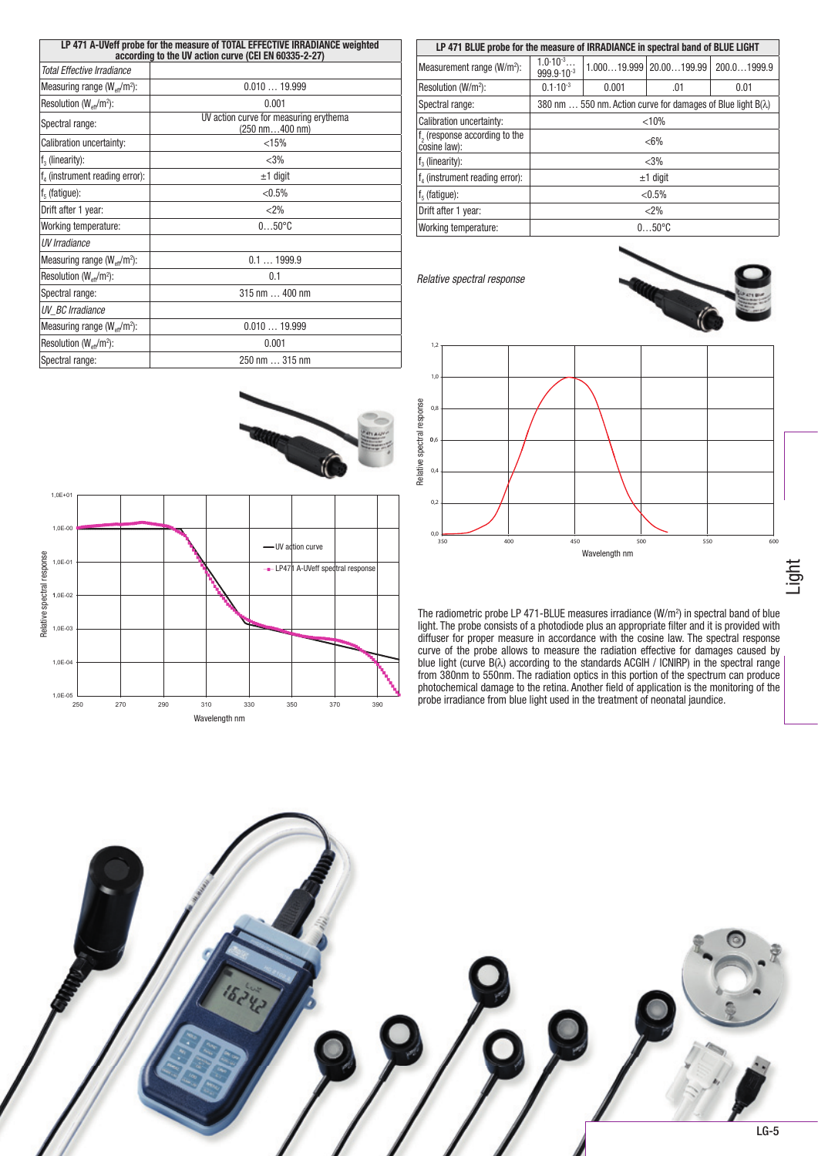| LP 471 A-UVeff probe for the measure of TOTAL EFFECTIVE IRRADIANCE weighted<br>according to the UV action curve (CEI EN 60335-2-27) |                                                                            |  |  |  |
|-------------------------------------------------------------------------------------------------------------------------------------|----------------------------------------------------------------------------|--|--|--|
| <b>Total Effective Irradiance</b>                                                                                                   |                                                                            |  |  |  |
| Measuring range $(W_{\text{eff}}/m^2)$ :                                                                                            | 0.01019.999                                                                |  |  |  |
| Resolution $(W_{eff}/m^2)$ :                                                                                                        | 0.001                                                                      |  |  |  |
| Spectral range:                                                                                                                     | UV action curve for measuring erythema<br>$(250 \text{ nm}400 \text{ nm})$ |  |  |  |
| Calibration uncertainty:                                                                                                            | < 15%                                                                      |  |  |  |
| $f3$ (linearity):                                                                                                                   | < 3%                                                                       |  |  |  |
| $f_{\lambda}$ (instrument reading error):                                                                                           | $±1$ digit                                                                 |  |  |  |
| $f5$ (fatigue):                                                                                                                     | $< 0.5\%$                                                                  |  |  |  |
| Drift after 1 year:                                                                                                                 | $<$ 2%                                                                     |  |  |  |
| Working temperature:                                                                                                                | $050^{\circ}$ C                                                            |  |  |  |
| UV Irradiance                                                                                                                       |                                                                            |  |  |  |
| Measuring range $(W_{\text{eff}}/m^2)$ :                                                                                            | 0.11999.9                                                                  |  |  |  |
| Resolution $(W_{eff}/m^2)$ :                                                                                                        | 0.1                                                                        |  |  |  |
| Spectral range:                                                                                                                     | $315 \text{ nm} \dots 400 \text{ nm}$                                      |  |  |  |
| UV BC Irradiance                                                                                                                    |                                                                            |  |  |  |
| Measuring range $(W_{\text{eff}}/m^2)$ :                                                                                            | 0.01019.999                                                                |  |  |  |
| Resolution ( $W_{\text{eff}}/m^2$ ):                                                                                                | 0.001                                                                      |  |  |  |
| Spectral range:                                                                                                                     | 250 nm  315 nm                                                             |  |  |  |

| LP 471 BLUE probe for the measure of IRRADIANCE in spectral band of BLUE LIGHT |                                                                             |       |                               |             |  |
|--------------------------------------------------------------------------------|-----------------------------------------------------------------------------|-------|-------------------------------|-------------|--|
| Measurement range (W/m <sup>2</sup> ):                                         | $1.0 \cdot 10^{-3}$<br>999.9-10-3                                           |       | $1.00019.999$   $20.00199.99$ | 200.01999.9 |  |
| Resolution (W/m <sup>2</sup> ):                                                | $0.1 \cdot 10^{-3}$                                                         | 0.001 | .01                           | 0.01        |  |
| Spectral range:                                                                | 380 nm $\ldots$ 550 nm. Action curve for damages of Blue light $B(\lambda)$ |       |                               |             |  |
| Calibration uncertainty:                                                       | < 10%                                                                       |       |                               |             |  |
| f <sub>2</sub> (response according to the<br>cosine law):                      | $< 6\%$                                                                     |       |                               |             |  |
| $f3$ (linearity):                                                              |                                                                             |       | < 3%                          |             |  |
| $f_4$ (instrument reading error):                                              |                                                                             |       | $±1$ digit                    |             |  |
| $f5$ (fatigue):                                                                | $< 0.5\%$                                                                   |       |                               |             |  |
| Drift after 1 year:                                                            | $<$ 2%                                                                      |       |                               |             |  |
| Working temperature:                                                           | $050$ °C                                                                    |       |                               |             |  |

*Relative spectral response*





The radiometric probe LP 471-BLUE measures irradiance  $(W/m<sup>2</sup>)$  in spectral band of blue light. The probe consists of a photodiode plus an appropriate filter and it is provided with diffuser for proper measure in accordance with the cosine law. The spectral response curve of the probe allows to measure the radiation effective for damages caused by blue light (curve  $B(\lambda)$  according to the standards ACGIH / ICNIRP) in the spectral range from 380nm to 550nm. The radiation optics in this portion of the spectrum can produce photochemical damage to the retina. Another field of application is the monitoring of the probe irradiance from blue light used in the treatment of neonatal jaundice.